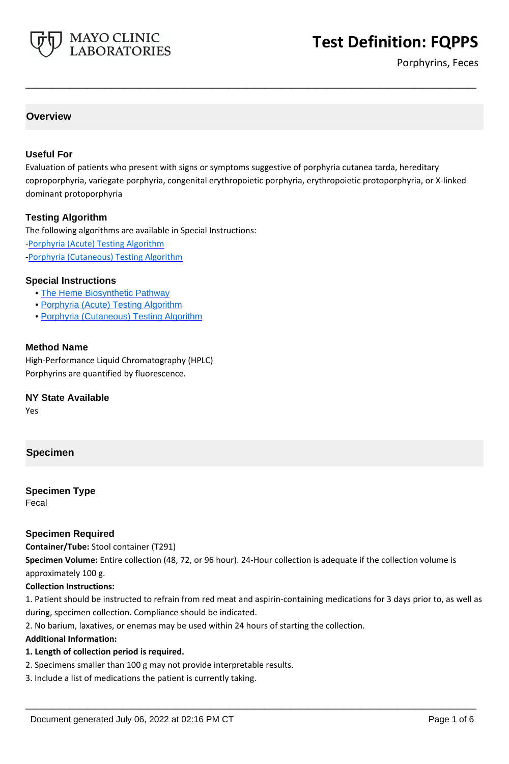

# **Test Definition: FQPPS**

Porphyrins, Feces

# **Overview**

## **Useful For**

Evaluation of patients who present with signs or symptoms suggestive of porphyria cutanea tarda, hereditary coproporphyria, variegate porphyria, congenital erythropoietic porphyria, erythropoietic protoporphyria, or X-linked dominant protoporphyria

**\_\_\_\_\_\_\_\_\_\_\_\_\_\_\_\_\_\_\_\_\_\_\_\_\_\_\_\_\_\_\_\_\_\_\_\_\_\_\_\_\_\_\_\_\_\_\_\_\_\_\_**

## **Testing Algorithm**

The following algorithms are available in Special Instructions: [-Porphyria \(Acute\) Testing Algorithm](https://www.mayocliniclabs.com/it-mmfiles/Porphyria__Acute__Testing_Algorithm.pdf) [-Porphyria \(Cutaneous\) Testing Algorithm](https://www.mayocliniclabs.com/it-mmfiles/Porphyria__Cutaneous__Testing_Algorithm.pdf)

## **Special Instructions**

- • [The Heme Biosynthetic Pathway](http://www.mayocliniclabs.com/it-mmfiles/The_Heme_Biosynthetic_Pathway.pdf)
- • [Porphyria \(Acute\) Testing Algorithm](http://www.mayocliniclabs.com/it-mmfiles/Porphyria__Acute__Testing_Algorithm.pdf)
- • [Porphyria \(Cutaneous\) Testing Algorithm](http://www.mayocliniclabs.com/it-mmfiles/Porphyria__Cutaneous__Testing_Algorithm.pdf)

## **Method Name**

High-Performance Liquid Chromatography (HPLC) Porphyrins are quantified by fluorescence.

**NY State Available**

Yes

# **Specimen**

## **Specimen Type**

Fecal

## **Specimen Required**

**Container/Tube:** Stool container (T291)

**Specimen Volume:** Entire collection (48, 72, or 96 hour). 24-Hour collection is adequate if the collection volume is approximately 100 g.

## **Collection Instructions:**

1. Patient should be instructed to refrain from red meat and aspirin-containing medications for 3 days prior to, as well as during, specimen collection. Compliance should be indicated.

**\_\_\_\_\_\_\_\_\_\_\_\_\_\_\_\_\_\_\_\_\_\_\_\_\_\_\_\_\_\_\_\_\_\_\_\_\_\_\_\_\_\_\_\_\_\_\_\_\_\_\_**

2. No barium, laxatives, or enemas may be used within 24 hours of starting the collection.

## **Additional Information:**

## **1. Length of collection period is required.**

- 2. Specimens smaller than 100 g may not provide interpretable results.
- 3. Include a list of medications the patient is currently taking.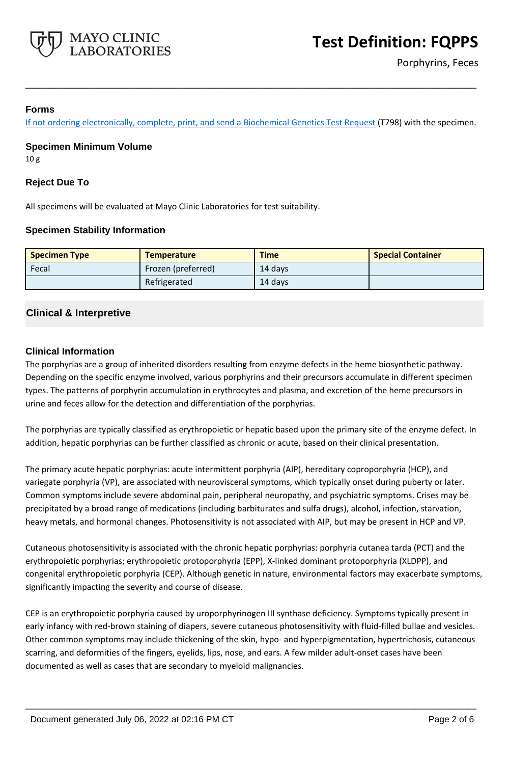

# **Forms**

If not ordering electronically, complete, print, and send a [Biochemical Genetics Test Request](https://www.mayocliniclabs.com/it-mmfiles/iem-request-form.pdf) (T798) with the specimen.

**\_\_\_\_\_\_\_\_\_\_\_\_\_\_\_\_\_\_\_\_\_\_\_\_\_\_\_\_\_\_\_\_\_\_\_\_\_\_\_\_\_\_\_\_\_\_\_\_\_\_\_**

**Specimen Minimum Volume** 10 g

# **Reject Due To**

All specimens will be evaluated at Mayo Clinic Laboratories for test suitability.

## **Specimen Stability Information**

| <b>Specimen Type</b> | <b>Temperature</b> | <b>Time</b> | <b>Special Container</b> |
|----------------------|--------------------|-------------|--------------------------|
| Fecal                | Frozen (preferred) | 14 days     |                          |
|                      | Refrigerated       | 14 days     |                          |

# **Clinical & Interpretive**

## **Clinical Information**

The porphyrias are a group of inherited disorders resulting from enzyme defects in the heme biosynthetic pathway. Depending on the specific enzyme involved, various porphyrins and their precursors accumulate in different specimen types. The patterns of porphyrin accumulation in erythrocytes and plasma, and excretion of the heme precursors in urine and feces allow for the detection and differentiation of the porphyrias.

The porphyrias are typically classified as erythropoietic or hepatic based upon the primary site of the enzyme defect. In addition, hepatic porphyrias can be further classified as chronic or acute, based on their clinical presentation.

The primary acute hepatic porphyrias: acute intermittent porphyria (AIP), hereditary coproporphyria (HCP), and variegate porphyria (VP), are associated with neurovisceral symptoms, which typically onset during puberty or later. Common symptoms include severe abdominal pain, peripheral neuropathy, and psychiatric symptoms. Crises may be precipitated by a broad range of medications (including barbiturates and sulfa drugs), alcohol, infection, starvation, heavy metals, and hormonal changes. Photosensitivity is not associated with AIP, but may be present in HCP and VP.

Cutaneous photosensitivity is associated with the chronic hepatic porphyrias: porphyria cutanea tarda (PCT) and the erythropoietic porphyrias; erythropoietic protoporphyria (EPP), X-linked dominant protoporphyria (XLDPP), and congenital erythropoietic porphyria (CEP). Although genetic in nature, environmental factors may exacerbate symptoms, significantly impacting the severity and course of disease.

CEP is an erythropoietic porphyria caused by uroporphyrinogen III synthase deficiency. Symptoms typically present in early infancy with red-brown staining of diapers, severe cutaneous photosensitivity with fluid-filled bullae and vesicles. Other common symptoms may include thickening of the skin, hypo- and hyperpigmentation, hypertrichosis, cutaneous scarring, and deformities of the fingers, eyelids, lips, nose, and ears. A few milder adult-onset cases have been documented as well as cases that are secondary to myeloid malignancies.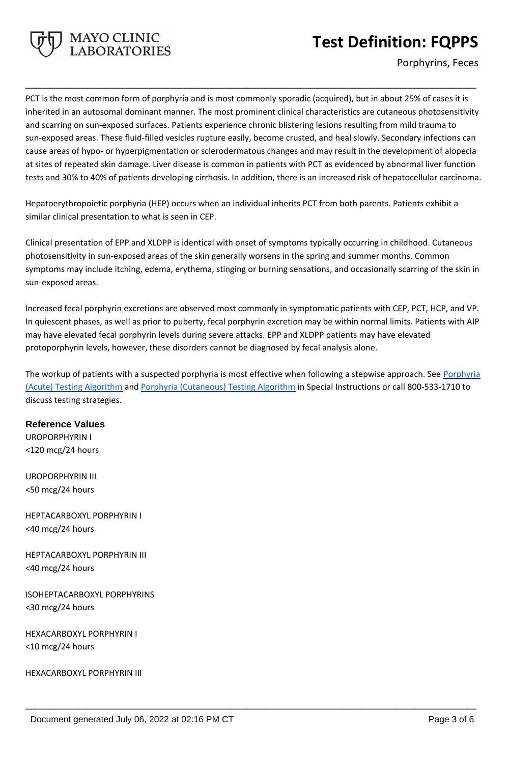

Porphyrins, Feces

PCT is the most common form of porphyria and is most commonly sporadic (acquired), but in about 25% of cases it is inherited in an autosomal dominant manner. The most prominent clinical characteristics are cutaneous photosensitivity and scarring on sun-exposed surfaces. Patients experience chronic blistering lesions resulting from mild trauma to sun-exposed areas. These fluid-filled vesicles rupture easily, become crusted, and heal slowly. Secondary infections can cause areas of hypo- or hyperpigmentation or sclerodermatous changes and may result in the development of alopecia at sites of repeated skin damage. Liver disease is common in patients with PCT as evidenced by abnormal liver function tests and 30% to 40% of patients developing cirrhosis. In addition, there is an increased risk of hepatocellular carcinoma.

**\_\_\_\_\_\_\_\_\_\_\_\_\_\_\_\_\_\_\_\_\_\_\_\_\_\_\_\_\_\_\_\_\_\_\_\_\_\_\_\_\_\_\_\_\_\_\_\_\_\_\_**

Hepatoerythropoietic porphyria (HEP) occurs when an individual inherits PCT from both parents. Patients exhibit a similar clinical presentation to what is seen in CEP.

Clinical presentation of EPP and XLDPP is identical with onset of symptoms typically occurring in childhood. Cutaneous photosensitivity in sun-exposed areas of the skin generally worsens in the spring and summer months. Common symptoms may include itching, edema, erythema, stinging or burning sensations, and occasionally scarring of the skin in sun-exposed areas.

Increased fecal porphyrin excretions are observed most commonly in symptomatic patients with CEP, PCT, HCP, and VP. In quiescent phases, as well as prior to puberty, fecal porphyrin excretion may be within normal limits. Patients with AIP may have elevated fecal porphyrin levels during severe attacks. EPP and XLDPP patients may have elevated protoporphyrin levels, however, these disorders cannot be diagnosed by fecal analysis alone.

The workup of patients with a suspected porphyria is most effective when following a stepwise approach. See [Porphyria](https://www.mayocliniclabs.com/it-mmfiles/Porphyria__Acute__Testing_Algorithm.pdf)  [\(Acute\) Testing Algorithm](https://www.mayocliniclabs.com/it-mmfiles/Porphyria__Acute__Testing_Algorithm.pdf) and [Porphyria \(Cutaneous\) Testing Algorithm](https://www.mayocliniclabs.com/it-mmfiles/Porphyria__Cutaneous__Testing_Algorithm.pdf) in Special Instructions or call 800-533-1710 to discuss testing strategies.

**\_\_\_\_\_\_\_\_\_\_\_\_\_\_\_\_\_\_\_\_\_\_\_\_\_\_\_\_\_\_\_\_\_\_\_\_\_\_\_\_\_\_\_\_\_\_\_\_\_\_\_**

# **Reference Values**

UROPORPHYRIN I <120 mcg/24 hours

UROPORPHYRIN III <50 mcg/24 hours

HEPTACARBOXYL PORPHYRIN I <40 mcg/24 hours

HEPTACARBOXYL PORPHYRIN III <40 mcg/24 hours

ISOHEPTACARBOXYL PORPHYRINS <30 mcg/24 hours

HEXACARBOXYL PORPHYRIN I <10 mcg/24 hours

HEXACARBOXYL PORPHYRIN III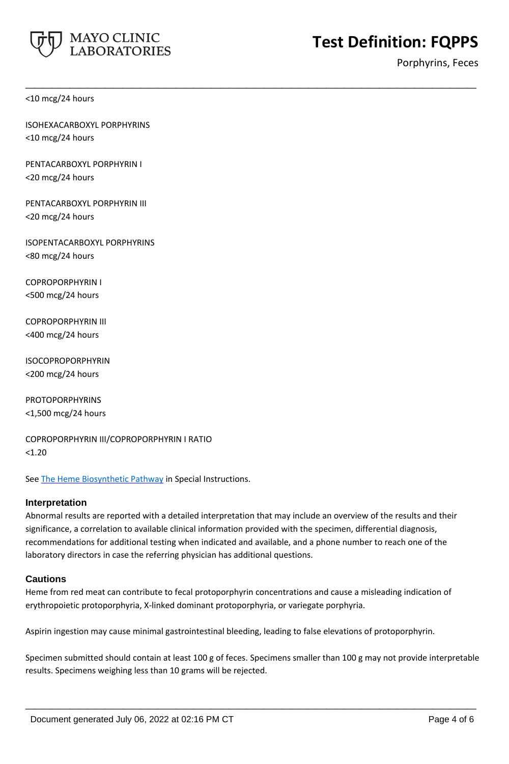

Porphyrins, Feces

<10 mcg/24 hours

ISOHEXACARBOXYL PORPHYRINS <10 mcg/24 hours

PENTACARBOXYL PORPHYRIN I <20 mcg/24 hours

PENTACARBOXYL PORPHYRIN III <20 mcg/24 hours

ISOPENTACARBOXYL PORPHYRINS <80 mcg/24 hours

COPROPORPHYRIN I <500 mcg/24 hours

COPROPORPHYRIN III <400 mcg/24 hours

ISOCOPROPORPHYRIN <200 mcg/24 hours

PROTOPORPHYRINS <1,500 mcg/24 hours

COPROPORPHYRIN III/COPROPORPHYRIN I RATIO  $< 1.20$ 

See [The Heme Biosynthetic Pathway](https://www.mayocliniclabs.com/it-mmfiles/The_Heme_Biosynthetic_Pathway.pdf) in Special Instructions.

## **Interpretation**

Abnormal results are reported with a detailed interpretation that may include an overview of the results and their significance, a correlation to available clinical information provided with the specimen, differential diagnosis, recommendations for additional testing when indicated and available, and a phone number to reach one of the laboratory directors in case the referring physician has additional questions.

**\_\_\_\_\_\_\_\_\_\_\_\_\_\_\_\_\_\_\_\_\_\_\_\_\_\_\_\_\_\_\_\_\_\_\_\_\_\_\_\_\_\_\_\_\_\_\_\_\_\_\_**

## **Cautions**

Heme from red meat can contribute to fecal protoporphyrin concentrations and cause a misleading indication of erythropoietic protoporphyria, X-linked dominant protoporphyria, or variegate porphyria.

Aspirin ingestion may cause minimal gastrointestinal bleeding, leading to false elevations of protoporphyrin.

Specimen submitted should contain at least 100 g of feces. Specimens smaller than 100 g may not provide interpretable results. Specimens weighing less than 10 grams will be rejected.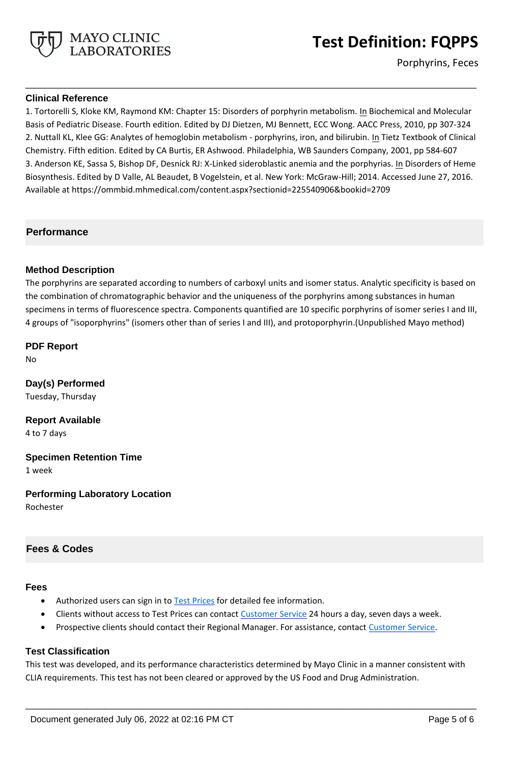

Porphyrins, Feces

# **Clinical Reference**

1. Tortorelli S, Kloke KM, Raymond KM: Chapter 15: Disorders of porphyrin metabolism. In Biochemical and Molecular Basis of Pediatric Disease. Fourth edition. Edited by DJ Dietzen, MJ Bennett, ECC Wong. AACC Press, 2010, pp 307-324 2. Nuttall KL, Klee GG: Analytes of hemoglobin metabolism - porphyrins, iron, and bilirubin. In Tietz Textbook of Clinical Chemistry. Fifth edition. Edited by CA Burtis, ER Ashwood. Philadelphia, WB Saunders Company, 2001, pp 584-607 3. Anderson KE, Sassa S, Bishop DF, Desnick RJ: X-Linked sideroblastic anemia and the porphyrias. In Disorders of Heme Biosynthesis. Edited by D Valle, AL Beaudet, B Vogelstein, et al. New York: McGraw-Hill; 2014. Accessed June 27, 2016. Available at https://ommbid.mhmedical.com/content.aspx?sectionid=225540906&bookid=2709

**\_\_\_\_\_\_\_\_\_\_\_\_\_\_\_\_\_\_\_\_\_\_\_\_\_\_\_\_\_\_\_\_\_\_\_\_\_\_\_\_\_\_\_\_\_\_\_\_\_\_\_**

# **Performance**

# **Method Description**

The porphyrins are separated according to numbers of carboxyl units and isomer status. Analytic specificity is based on the combination of chromatographic behavior and the uniqueness of the porphyrins among substances in human specimens in terms of fluorescence spectra. Components quantified are 10 specific porphyrins of isomer series I and III, 4 groups of "isoporphyrins" (isomers other than of series I and III), and protoporphyrin.(Unpublished Mayo method)

**PDF Report** No

**Day(s) Performed** Tuesday, Thursday

**Report Available** 4 to 7 days

**Specimen Retention Time** 1 week

**Performing Laboratory Location** Rochester

# **Fees & Codes**

## **Fees**

- Authorized users can sign in to [Test Prices](https://www.mayocliniclabs.com/customer-service/client-price-lookup/index.html?unit_code=FQPPS) for detailed fee information.
- Clients without access to Test Prices can contact [Customer Service](http://www.mayocliniclabs.com/customer-service/contacts.html) 24 hours a day, seven days a week.
- **Prospective clients should contact their Regional Manager. For assistance, contact [Customer Service.](http://www.mayocliniclabs.com/customer-service/contacts.html)**

## **Test Classification**

This test was developed, and its performance characteristics determined by Mayo Clinic in a manner consistent with CLIA requirements. This test has not been cleared or approved by the US Food and Drug Administration.